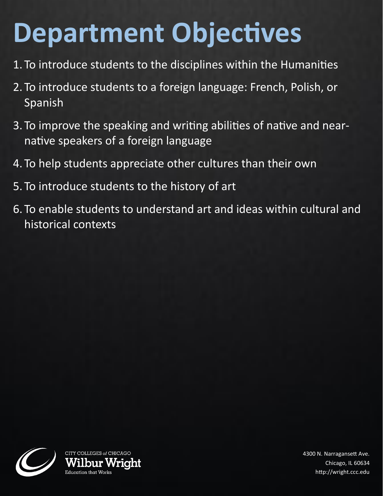## **Department Objectives**

- 1. To introduce students to the disciplines within the Humanities
- 2. To introduce students to a foreign language: French, Polish, or Spanish
- 3. To improve the speaking and writing abilities of native and nearnative speakers of a foreign language
- 4. To help students appreciate other cultures than their own
- 5. To introduce students to the history of art
- 6. To enable students to understand art and ideas within cultural and historical contexts



4300 N. Narragansett Ave. Chicago, IL 60634 http://wright.ccc.edu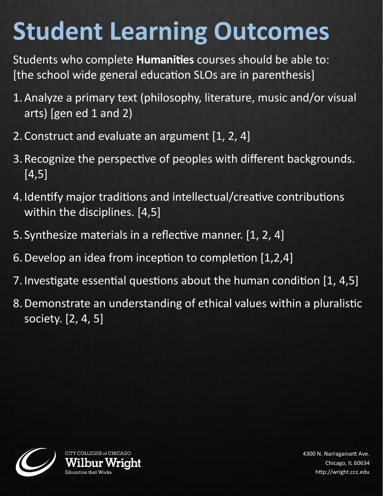## **Student Learning Outcomes**

Students who complete **Humanities** courses should be able to: [the school wide general education SLOs are in parenthesis]

- 1.Analyze a primary text (philosophy, literature, music and/or visual arts) [gen ed 1 and 2)
- 2. Construct and evaluate an argument [1, 2, 4]
- 3. Recognize the perspective of peoples with different backgrounds. [4,5]
- 4. Identify major traditions and intellectual/creative contributions within the disciplines. [4,5]
- 5. Synthesize materials in a reflective manner. [1, 2, 4]
- 6.Develop an idea from inception to completion [1,2,4]
- 7. Investigate essential questions about the human condition [1, 4,5]
- 8.Demonstrate an understanding of ethical values within a pluralistic society. [2, 4, 5]



4300 N. Narragansett Ave. Chicago, IL 60634 http://wright.ccc.edu